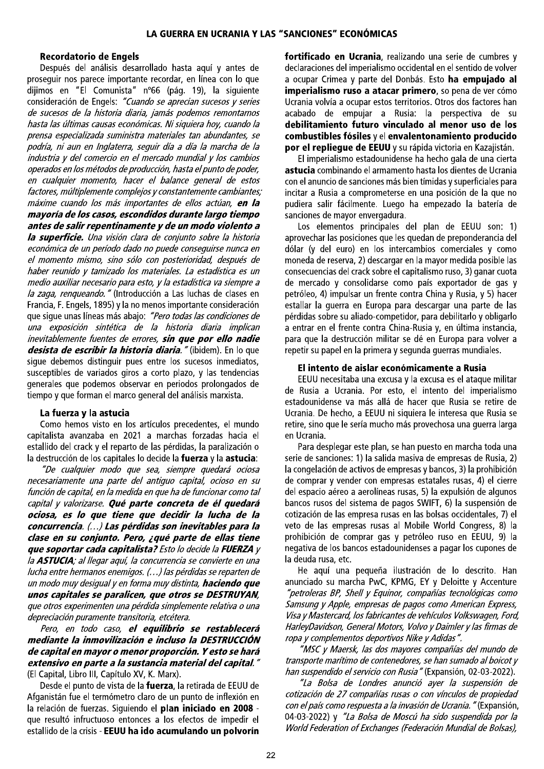## **Recordatorio de Engels**

Después del análisis desarrollado hasta aquí y antes de proseguir nos parece importante recordar, en línea con lo que dijimos en "El Comunista" nº66 (pág. 19), la siguiente consideración de Engels: "Cuando se aprecian sucesos y series de sucesos de la historia diaria, jamás podemos remontarnos hasta las últimas causas económicas. Ni siquiera hoy, cuando la prensa especializada suministra materiales tan abundantes, se .<br>podría, ni aun en Inglaterra, seguir día a día la marcha de la .<br>industria y del comercio en el mercado mundial y los cambios operados en los métodos de producción, hasta el punto de poder, en cualquier momento, hacer el balance general de estos factores, múltiplemente complejos y constantemente cambiantes; máxime cuando los más importantes de ellos actúan, en la mayoría de los casos, escondidos durante largo tiempo antes de salir repentinamente y de un modo violento a la superficie. Una visión clara de conjunto sobre la historia económica de un período dado no puede conseguirse nunca en el momento mismo, sino sólo con posterioridad, después de haber reunido y tamizado los materiales. La estadística es un medio auxiliar necesario para esto, y la estadística va siempre a la zaga, renqueando." (Introducción a Las luchas de clases en Francia, F. Engels, 1895) y la no menos importante consideración que sique unas líneas más abajo: "Pero todas las condiciones de una exposición sintética de la historia diaria implican inevitablemente fuentes de errores, sin que por ello nadie desista de escribir la historia diaria. " (ibidem). En lo que sigue debemos distinguir pues entre los sucesos inmediatos, susceptibles de variados giros a corto plazo, y las tendencias generales que podemos observar en periodos prolongados de tiempo y que forman el marco general del análisis marxista.

## La fuerza y la astucia

Como hemos visto en los artículos precedentes, el mundo capitalista avanzaba en 2021 a marchas forzadas hacia el estallido del crack y el reparto de las pérdidas, la paralización o la destrucción de los capitales lo decide la fuerza y la astucia:

"De cualquier modo que sea, siempre quedará ociosa necesariamente una parte del antiguo capital, ocioso en su función de capital, en la medida en que ha de funcionar como tal capital y valorizarse. Qué parte concreta de él quedará ociosa, es lo que tiene que decidir la lucha de la concurrencia. (...) Las pérdidas son inevitables para la clase en su conjunto. Pero, ¿qué parte de ellas tiene que soportar cada capitalista? Esto lo decide la FUERZA y la ASTUCIA; al llegar aguí, la concurrencia se convierte en una lucha entre hermanos enemigos. (...) las pérdidas se reparten de un modo muy desigual y en forma muy distinta, haciendo que unos capitales se paralicen, que otros se DESTRUYAN, que otros experimenten una pérdida simplemente relativa o una depreciación puramente transitoria, etcétera.

Pero, en todo caso, el equilibrio se restablecerá mediante la inmovilización e incluso la DESTRUCCIÓN de capital en mayor o menor proporción. Y esto se hará extensivo en parte a la sustancia material del capital." (El Capital, Libro III, Capítulo XV, K. Marx).

Desde el punto de vista de la fuerza, la retirada de EEUU de Afganistán fue el termómetro claro de un punto de inflexión en la relación de fuerzas. Siguiendo el plan iniciado en 2008 que resultó infructuoso entonces a los efectos de impedir el estallido de la crisis - EEUU ha ido acumulando un polvorín fortificado en Ucrania, realizando una serie de cumbres y declaraciones del imperialismo occidental en el sentido de volver a ocupar Crimea y parte del Donbás. Esto ha empuiado al imperialismo ruso a atacar primero, so pena de ver cómo Ucrania volvía a ocupar estos territorios. Otros dos factores han acabado de empujar a Rusia: la perspectiva de su debilitamiento futuro vinculado al menor uso de los combustibles fósiles y el envalentonamiento producido por el repliegue de EEUU y su rápida victoria en Kazajistán.

El imperialismo estadounidense ha hecho gala de una cierta astucia combinando el armamento hasta los dientes de Ucrania con el anuncio de sanciones más bien tímidas y superficiales para incitar a Rusia a comprometerse en una posición de la que no pudiera salir fácilmente. Luego ha empezado la batería de sanciones de mayor envergadura.

Los elementos principales del plan de EEUU son: 1) aprovechar las posiciones que les quedan de preponderancia del dólar (y del euro) en los intercambios comerciales y como moneda de reserva, 2) descargar en la mayor medida posible las consecuencias del crack sobre el capitalismo ruso, 3) ganar cuota de mercado y consolidarse como país exportador de gas y petróleo, 4) impulsar un frente contra China y Rusia, y 5) hacer estallar la querra en Europa para descargar una parte de las pérdidas sobre su aliado-competidor, para debilitarlo y obligarlo a entrar en el frente contra China-Rusia y, en última instancia, para que la destrucción militar se dé en Europa para volver a repetir su papel en la primera y segunda guerras mundiales.

## El intento de aislar económicamente a Rusia

EEUU necesitaba una excusa y la excusa es el ataque militar de Rusia a Ucrania. Por esto, el intento del imperialismo estadounidense va más allá de hacer que Rusia se retire de Ucrania. De hecho, a EEUU ni siguiera le interesa que Rusia se retire, sino que le sería mucho más provechosa una querra larga en Ucrania.

Para desplegar este plan, se han puesto en marcha toda una serie de sanciones: 1) la salida masiva de empresas de Rusia, 2) la congelación de activos de empresas y bancos, 3) la prohibición de comprar y vender con empresas estatales rusas, 4) el cierre del espacio aéreo a aerolíneas rusas, 5) la expulsión de algunos bancos rusos del sistema de pagos SWIFT, 6) la suspensión de cotización de las empresa rusas en las bolsas occidentales, 7) el veto de las empresas rusas al Mobile World Congress, 8) la prohibición de comprar gas y petróleo ruso en EEUU, 9) la negativa de los bancos estadounidenses a pagar los cupones de la deuda rusa, etc.

He aquí una pequeña ilustración de lo descrito. Han anunciado su marcha PwC, KPMG, EY y Deloitte y Accenture "petroleras BP, Shell y Equinor, compañías tecnológicas como Samsung y Apple, empresas de pagos como American Express, Visa y Mastercard, los fabricantes de vehículos Volkswagen, Ford, HarleyDavidson, General Motors, Volvo y Daimler y las firmas de ropa y complementos deportivos Nike y Adidas".

"MSC y Maersk, las dos mayores compañías del mundo de transporte marítimo de contenedores, se han sumado al boicot y han suspendido el servicio con Rusia" (Expansión, 02-03-2022).

"La Bolsa de Londres anunció ayer la suspensión de cotización de 27 compañías rusas o con vínculos de propiedad con el país como respuesta a la invasión de Ucrania." (Expansión, 04-03-2022) y "La Bolsa de Moscú ha sido suspendida por la World Federation of Exchanges (Federación Mundial de Bolsas),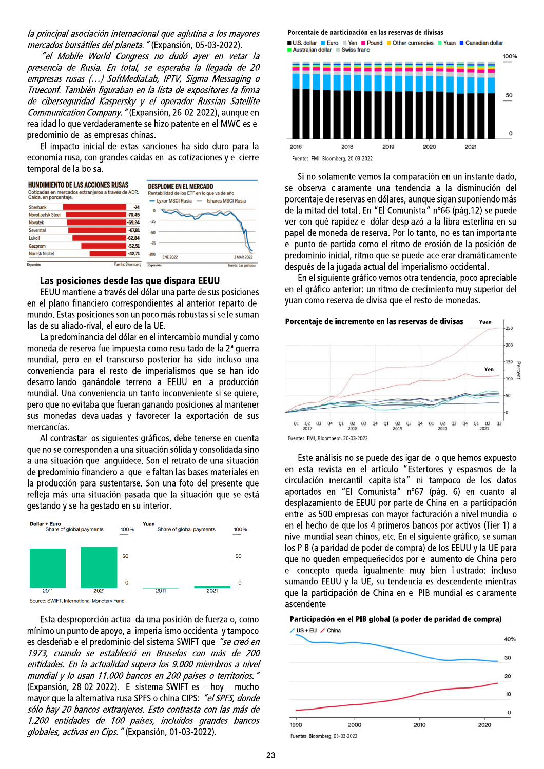la principal asociación internacional que aglutina a los mayores mercados bursátiles del planeta. " (Expansión, 05-03-2022).

"el Mobile World Congress no dudó aver en vetar la presencia de Rusia. En total, se esperaba la llegada de 20 empresas rusas (...) SoftMediaLab, IPTV, Sigma Messaging o Trueconf. También figuraban en la lista de expositores la firma de ciberseguridad Kaspersky y el operador Russian Satellite Communication Company. "(Expansión, 26-02-2022), aunque en realidad lo que verdaderamente se hizo patente en el MWC es el predominio de las empresas chinas.

El impacto inicial de estas sanciones ha sido duro para la economía rusa, con grandes caídas en las cotizaciones y el cierre temporal de la bolsa.



## Las posiciones desde las que dispara EEUU

EEUU mantiene a través del dólar una parte de sus posiciones en el plano financiero correspondientes al anterior reparto del mundo. Estas posiciones son un poco más robustas si se le suman las de su aliado-rival, el euro de la UE.

La predominancia del dólar en el intercambio mundial y como moneda de reserva fue impuesta como resultado de la 2<sup>ª</sup> querra mundial, pero en el transcurso posterior ha sido incluso una conveniencia para el resto de imperialismos que se han ido desarrollando ganándole terreno a EEUU en la producción mundial. Una conveniencia un tanto inconveniente si se quiere, pero que no evitaba que fueran ganando posiciones al mantener sus monedas devaluadas y favorecer la exportación de sus mercancías.

Al contrastar los siguientes gráficos, debe tenerse en cuenta que no se corresponden a una situación sólida y consolidada sino a una situación que languidece. Son el retrato de una situación de predominio financiero al que le faltan las bases materiales en la producción para sustentarse. Son una foto del presente que refleja más una situación pasada que la situación que se está gestando y se ha gestado en su interior.





Esta desproporción actual da una posición de fuerza o, como mínimo un punto de apoyo, al imperialismo occidental y tampoco es desdeñable el predominio del sistema SWIFT que "se creó en 1973, cuando se estableció en Bruselas con más de 200 entidades. En la actualidad supera los 9.000 miembros a nivel mundial y lo usan 11.000 bancos en 200 países o territorios." (Expansión, 28-02-2022). El sistema SWIFT es - hov - mucho mayor que la alternativa rusa SPFS o china CIPS: "el SPFS, donde sólo hay 20 bancos extranjeros. Esto contrasta con las más de 1.200 entidades de 100 países, incluidos grandes bancos globales, activas en Cips." (Expansión, 01-03-2022).

#### Porcentaje de participación en las reservas de divisas



Si no solamente vemos la comparación en un instante dado, se observa claramente una tendencia a la disminución del porcentaje de reservas en dólares, aunque sigan suponiendo más de la mitad del total. En "El Comunista" nº66 (pág.12) se puede ver con qué rapidez el dólar desplazó a la libra esterlina en su papel de moneda de reserva. Por lo tanto, no es tan importante el punto de partida como el ritmo de erosión de la posición de predominio inicial, ritmo que se puede acelerar dramáticamente después de la jugada actual del imperialismo occidental.

En el siguiente gráfico vemos otra tendencia, poco apreciable en el gráfico anterior: un ritmo de crecimiento muy superior del yuan como reserva de divisa que el resto de monedas.



Fuentes: FMI, Bloomberg, 20-03-2022

Este análisis no se puede desligar de lo que hemos expuesto en esta revista en el artículo "Estertores y espasmos de la circulación mercantil capitalista" ni tampoco de los datos aportados en "El Comunista" nº67 (pág. 6) en cuanto al desplazamiento de EEUU por parte de China en la participación entre las 500 empresas con mayor facturación a nivel mundial o en el hecho de que los 4 primeros bancos por activos (Tier 1) a nivel mundial sean chinos, etc. En el siguiente gráfico, se suman los PIB (a paridad de poder de compra) de los EEUU y la UE para que no queden empequeñecidos por el aumento de China pero el concepto queda igualmente muy bien ilustrado: incluso sumando EEUU y la UE, su tendencia es descendente mientras que la participación de China en el PIB mundial es claramente ascendente.

#### Participación en el PIB global (a poder de paridad de compra)

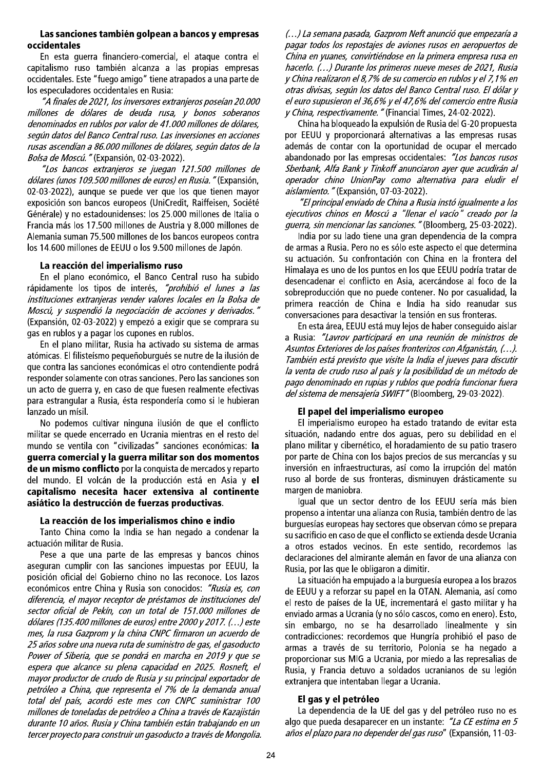## Las sanciones también golpean a bancos y empresas occidentales

En esta querra financiero-comercial, el ataque contra el capitalismo ruso también alcanza a las propias empresas occidentales. Este "fuego amigo" tiene atrapados a una parte de los especuladores occidentales en Rusia:

"A finales de 2021, los inversores extranjeros poseían 20.000 millones de dólares de deuda rusa, y bonos soberanos denominados en rublos por valor de 41.000 millones de dólares, según datos del Banco Central ruso. Las inversiones en acciones rusas ascendían a 86.000 millones de dólares, según datos de la Bolsa de Moscú. " (Expansión, 02-03-2022).

"Los bancos extranjeros se juegan 121.500 millones de dólares (unos 109.500 millones de euros) en Rusia." (Expansión, 02-03-2022), aunque se puede ver que los que tienen mayor exposición son bancos europeos (UniCredit, Raiffeisen, Société Générale) y no estadounidenses: los 25.000 millones de Italia o Francia más los 17.500 millones de Austria y 8.000 millones de Alemania suman 75.500 millones de los bancos europeos contra los 14.600 millones de EEUU o los 9.500 millones de Japón.

## La reacción del imperialismo ruso

En el plano económico, el Banco Central ruso ha subido rápidamente los tipos de interés, "prohibió el lunes a las instituciones extranjeras vender valores locales en la Bolsa de Moscú, y suspendió la negociación de acciones y derivados." (Expansión, 02-03-2022) y empezó a exigir que se comprara su gas en rublos y a pagar los cupones en rublos.

En el plano militar, Rusia ha activado su sistema de armas atómicas. El filisteísmo pequeñoburqués se nutre de la ilusión de que contra las sanciones económicas el otro contendiente podrá responder solamente con otras sanciones. Pero las sanciones son un acto de querra y, en caso de que fuesen realmente efectivas para estrangular a Rusia, ésta respondería como si le hubieran lanzado un mísil.

No podemos cultivar ninguna ilusión de que el conflicto militar se quede encerrado en Ucrania mientras en el resto del mundo se ventila con "civilizadas" sanciones económicas: la guerra comercial y la guerra militar son dos momentos de un mismo conflicto por la conquista de mercados y reparto del mundo. El volcán de la producción está en Asia y el capitalismo necesita hacer extensiva al continente asiático la destrucción de fuerzas productivas.

## La reacción de los imperialismos chino e indio

Tanto China como la India se han negado a condenar la actuación militar de Rusia.

Pese a que una parte de las empresas y bancos chinos aseguran cumplir con las sanciones impuestas por EEUU, la posición oficial del Gobierno chino no las reconoce. Los lazos económicos entre China y Rusia son conocidos: "Rusia es, con diferencia, el mayor receptor de préstamos de instituciones del sector oficial de Pekín, con un total de 151.000 millones de dólares (135.400 millones de euros) entre 2000 y 2017. (...) este mes, la rusa Gazprom y la china CNPC firmaron un acuerdo de 25 años sobre una nueva ruta de suministro de gas, el gasoducto Power of Siberia, que se pondrá en marcha en 2019 y que se espera que alcance su plena capacidad en 2025. Rosneft, el mayor productor de crudo de Rusia y su principal exportador de petróleo a China, que representa el 7% de la demanda anual total del país, acordó este mes con CNPC suministrar 100 millones de toneladas de petróleo a China a través de Kazajistán durante 10 años. Rusia y China también están trabajando en un tercer proyecto para construir un gasoducto a través de Mongolia. (...) La semana pasada, Gazprom Neft anunció que empezaría a pagar todos los repostajes de aviones rusos en aeropuertos de China en vuanes, convirtiéndose en la primera empresa rusa en hacerlo. (...) Durante los primeros nueve meses de 2021, Rusia y China realizaron el 8,7% de su comercio en rublos y el 7,1% en otras divisas, según los datos del Banco Central ruso. El dólar y el euro supusieron el 36,6% y el 47,6% del comercio entre Rusia y China, respectivamente. "(Financial Times, 24-02-2022).

China ha bloqueado la expulsión de Rusia del G-20 propuesta por EEUU y proporcionará alternativas a las empresas rusas además de contar con la oportunidad de ocupar el mercado abandonado por las empresas occidentales: "Los bancos rusos Sberbank, Alfa Bank y Tinkoff anunciaron ayer que acudirán al operador chino UnionPay como alternativa para eludir el aislamiento. " (Expansión, 07-03-2022).

"El principal enviado de China a Rusia instó igualmente a los ejecutivos chinos en Moscú a "llenar el vacío" creado por la guerra, sin mencionar las sanciones." (Bloomberg, 25-03-2022).

India por su lado tiene una gran dependencia de la compra de armas a Rusia. Pero no es sólo este aspecto el que determina su actuación. Su confrontación con China en la frontera del Himalaya es uno de los puntos en los que EEUU podría tratar de desencadenar el conflicto en Asia, acercándose al foco de la sobreproducción que no puede contener. No por casualidad, la primera reacción de China e India ha sido reanudar sus conversaciones para desactivar la tensión en sus fronteras.

En esta área, EEUU está muy lejos de haber conseguido aislar a Rusia: "Lavrov participará en una reunión de ministros de Asuntos Exteriores de los países fronterizos con Afganistán, (...). También está previsto que visite la India el jueves para discutir la venta de crudo ruso al país y la posibilidad de un método de pago denominado en rupias y rublos que podría funcionar fuera del sistema de mensajería SWIFT" (Bloomberg, 29-03-2022).

# El papel del imperialismo europeo

El imperialismo europeo ha estado tratando de evitar esta situación, nadando entre dos aguas, pero su debilidad en el plano militar y cibernético, el horadamiento de su patio trasero por parte de China con los bajos precios de sus mercancías y su inversión en infraestructuras, así como la irrupción del matón ruso al borde de sus fronteras, disminuyen drásticamente su margen de maniobra.

Igual que un sector dentro de los EEUU sería más bien propenso a intentar una alianza con Rusia, también dentro de las burguesías europeas hay sectores que observan cómo se prepara su sacrificio en caso de que el conflicto se extienda desde Ucrania a otros estados vecinos. En este sentido, recordemos las declaraciones del almirante alemán en favor de una alianza con Rusia, por las que le obligaron a dimitir.

La situación ha empujado a la burquesía europea a los brazos de EEUU y a reforzar su papel en la OTAN. Alemania, así como el resto de países de la UE, incrementará el gasto militar y ha enviado armas a Ucrania (y no sólo cascos, como en enero). Esto, sin embargo, no se ha desarrollado linealmente v sin contradicciones: recordemos que Hungría prohibió el paso de armas a través de su territorio, Polonia se ha negado a proporcionar sus MIG a Ucrania, por miedo a las represalias de Rusia, y Francia detuvo a soldados ucranianos de su legión extranjera que intentaban llegar a Ucrania.

# El gas y el petróleo

La dependencia de la UE del gas y del petróleo ruso no es algo que pueda desaparecer en un instante: "La CE estima en 5 años el plazo para no depender del gas ruso" (Expansión, 11-03